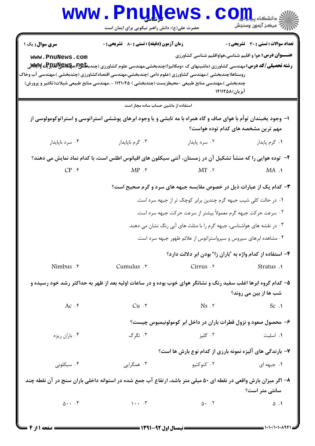|                                                                                                                                        | <b>www.PnuNews</b><br>حضرت علی(ع): دانش راهبر نیکویی برای ایمان است                                                                                                                                                                          |                                                                      | رِ آھرڪز آزمون وسنڊش                  |  |
|----------------------------------------------------------------------------------------------------------------------------------------|----------------------------------------------------------------------------------------------------------------------------------------------------------------------------------------------------------------------------------------------|----------------------------------------------------------------------|---------------------------------------|--|
| <b>سری سوال :</b> یک ۱                                                                                                                 | <b>زمان آزمون (دقیقه) : تستی : 80 ٪ تشریحی : 0</b>                                                                                                                                                                                           |                                                                      | تعداد سوالات : تستي : 30 ٪ تشريحي : 0 |  |
| www.PnuNews.com                                                                                                                        | <b>رشته تحصیلی/کد درس: مهندسی کشاورزی (ماشینهای ک ×ومکانیزا)چندبخشی،مهندسی علوم کشاورزی (چندب<del>خا&amp;</del>ی؟هچکلاچیچیچی کاپی</b><br>روستاها(چندبخشی )،مهندسی کشاورزی (علوم دامی )چندبخشی،مهندسی اقتصادکشاورزی (چندبخشی )،مهندسی آب وخاک | <b>عنـــوان درس:</b> هوا و اقلیم شناسی،هواواقلیم شناسی کشاورزی       |                                       |  |
|                                                                                                                                        | چندبخشی )،مهندسی منابع طبیعی -محیطزیست (چندبخشی ) ۱۱۲۱۰۴۵ - ،مهندسی منابع طبیعی شیلات(تکثیر و پرورش)                                                                                                                                         | آبزیان)811128                                                        |                                       |  |
|                                                                                                                                        | استفاده از ماشین حساب ساده مجاز است                                                                                                                                                                                                          |                                                                      |                                       |  |
|                                                                                                                                        | ۱– وجود یخبندان توأم با هوای صاف و گاه همراه با مه تابشی و یا وجود ابرهای پوششی استراتوسی و استراتوکومولوسی از                                                                                                                               | مهم ترین مشخصه های کدام توده هواست؟                                  |                                       |  |
| ۰۴ سرد ناپايدار                                                                                                                        | ۰۳ گرم ناپايدار                                                                                                                                                                                                                              | ۰۲ سرد پایدار                                                        | ٠١ گرم پايدار                         |  |
| ۲– توده هوایی را که منشأ تشکیل آن در زمستان، آنتی سیکلون های اقیانوس اطلس است، با کدام نماد نمایش می دهند؟                             |                                                                                                                                                                                                                                              |                                                                      |                                       |  |
| $CP .$ *                                                                                                                               | $MP \cdot \tilde{r}$                                                                                                                                                                                                                         | $MT \tcdot Y$                                                        | MA.1                                  |  |
|                                                                                                                                        |                                                                                                                                                                                                                                              | ۳- کدام یک از عبارات ذیل در خصوص مقایسه جبهه های سرد و گرم صحیح است؟ |                                       |  |
|                                                                                                                                        |                                                                                                                                                                                                                                              | ۰۱ در حالت کلی شیب جبهه گرم چندین برابر کوچک تر از جبهه سرد است.     |                                       |  |
|                                                                                                                                        |                                                                                                                                                                                                                                              | ۰۲ سرعت حرکت جبهه گرم معمولاً بیشتر از سرعت حرکت جبهه سرد است.       |                                       |  |
| ۰۳ در نقشه های هواشناسی، جبهه گرم را با مثلث های آبی رنگ نشان می دهند.                                                                 |                                                                                                                                                                                                                                              |                                                                      |                                       |  |
| ۰۴ مشاهده ابرهای سیروس و سیرواستراتوس از علائم ظهور جبهه سرد است.                                                                      |                                                                                                                                                                                                                                              |                                                                      |                                       |  |
|                                                                                                                                        |                                                                                                                                                                                                                                              | ۴- استفاده از کدام واژه به "باران زا" بودن ابر دلالت دارد؟           |                                       |  |
| Nimbus . r                                                                                                                             | Cumulus .r                                                                                                                                                                                                                                   | Cirrus .v                                                            | Stratus .1                            |  |
| ۵– کدام گروه ابرها اغلب سفید رنگ و نشانگر هوای خوب بوده و در ساعات اولیه بعد از ظهر به حداکثر رشد خود رسیده و<br>شب ها از بین می روند؟ |                                                                                                                                                                                                                                              |                                                                      |                                       |  |
| Ac.                                                                                                                                    | $Cu \cdot r$                                                                                                                                                                                                                                 | $Ns$ $.7$                                                            | Sc.1                                  |  |
|                                                                                                                                        |                                                                                                                                                                                                                                              | ۶– محصول صعود و نزول قطرات باران در داخل ابر کومولونیمبوس چیست؟      |                                       |  |
| ۰۴ باران ریزه                                                                                                                          | ۰۳ تگرگ                                                                                                                                                                                                                                      | ۰۲ گليز                                                              | ۰۱ اسلیت                              |  |
|                                                                                                                                        |                                                                                                                                                                                                                                              | ۷- بارندگی های آلیزه نمونه بارزی از کدام نوع بارش ها است؟            |                                       |  |
| ۰۴ سیکلونی                                                                                                                             | ۰۳ همگرایی                                                                                                                                                                                                                                   | ۰۲ کنوکتیو                                                           | ۰۱ جبهه ای                            |  |
| ۸– اگر میزان بارش واقعی در نقطه ای ۵۰ میلی متر باشد، ارتفاع آب جمع شده در استوانه داخلی باران سنج در آن نقطه چند<br>سانتی متر است؟     |                                                                                                                                                                                                                                              |                                                                      |                                       |  |
| $0 \cdot \cdot \cdot$ . ۴                                                                                                              | $\mathcal{N}$ . $\mathcal{N}$                                                                                                                                                                                                                | $\Delta$ . $\Gamma$                                                  | ۰۱. ۵                                 |  |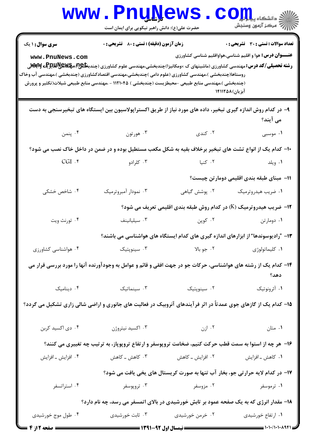|                                                                                                                                                  | Www.PnuNews.com<br>حضرت علی(ع): دانش راهبر نیکویی برای ایمان است                                                                                                                                                                                                                              |                                                                                                                                                                                                                                     |                                                                                                                |  |
|--------------------------------------------------------------------------------------------------------------------------------------------------|-----------------------------------------------------------------------------------------------------------------------------------------------------------------------------------------------------------------------------------------------------------------------------------------------|-------------------------------------------------------------------------------------------------------------------------------------------------------------------------------------------------------------------------------------|----------------------------------------------------------------------------------------------------------------|--|
| <b>سری سوال : ۱ یک</b><br>www.PnuNews.com<br>روستاها(چندبخشی )،مهندسی کشاورزی (علوم دامی )چندبخشی،مهندسی اقتصادکشاورزی (چندبخشی )،مهندسی آب وخاک | زمان آزمون (دقیقه) : تستی : 80 ٪ تشریحی : 0<br><b>رشته تحصیلی/کد درس: م</b> هندسی کشاورزی (ماشینهای ک ×ومکانیزا)چندبخشی،مهندسی علوم کشاورزی (چندب <b>خلیج) مچهلایپلیلیوچی وآبادار</b><br>(چندبخشی )،مهندسی منابع طبیعی -محیطزیست (چندبخشی ) ۱۱۲۱۰۴۵ - ،مهندسی منابع طبیعی شیلات(تکثیر و پرورش |                                                                                                                                                                                                                                     | <b>تعداد سوالات : تستي : 30 ٪ تشريحي : 0</b><br><b>عنـــوان درس:</b> هوا و اقلیم شناسی،هواواقلیم شناسی کشاورزی |  |
| آبزیان)۱۴۱۱۲۵۸<br>۹– در کدام روش اندازه گیری تبخیر، داده های مورد نیاز از طریق اکستراپولاسیون بین ایستگاه های تبخیرسنجی به دست                   |                                                                                                                                                                                                                                                                                               |                                                                                                                                                                                                                                     |                                                                                                                |  |
| ۴. پنمن                                                                                                                                          | هورتون $\cdot$ ۳ .                                                                                                                                                                                                                                                                            | ۰۲ کندی                                                                                                                                                                                                                             | می آیند؟<br>۰۱ موسبی                                                                                           |  |
| ۱۰– کدام یک از انواع تشت های تبخیر برخلاف بقیه به شکل مکعب مستطیل بوده و در ضمن در داخل خاک نصب می شود؟                                          |                                                                                                                                                                                                                                                                                               |                                                                                                                                                                                                                                     |                                                                                                                |  |
| $CGI.$ ۴                                                                                                                                         | ۰۳ کلرادو                                                                                                                                                                                                                                                                                     | ۰۲ کنیا                                                                                                                                                                                                                             | ۰۱ ویلد                                                                                                        |  |
|                                                                                                                                                  |                                                                                                                                                                                                                                                                                               |                                                                                                                                                                                                                                     | 1۱– مبنای طبقه بندی اقلیمی دومارتن چیست؟                                                                       |  |
| ۰۴ شاخص خشکی                                                                                                                                     | ۰۳ نمودار آمبروترميک                                                                                                                                                                                                                                                                          | ۰۲ پوشش گیاهی                                                                                                                                                                                                                       | ۰۱ ضریب هیدروترمیک                                                                                             |  |
|                                                                                                                                                  |                                                                                                                                                                                                                                                                                               |                                                                                                                                                                                                                                     | ۱۲- ضریب هیدروترمیک (K) در کدام روش طبقه بندی اقلیمی تعریف می شود؟                                             |  |
| ۰۴ تورنث ويت                                                                                                                                     | $\cdot$ سيليانينف                                                                                                                                                                                                                                                                             | ۰۲ کوپن                                                                                                                                                                                                                             | ۰۱ دومارتن                                                                                                     |  |
|                                                                                                                                                  |                                                                                                                                                                                                                                                                                               |                                                                                                                                                                                                                                     | ۱۳– "رادیوسوندها" از ابزارهای اندازه گیری های کدام ایستگاه های هواشناسی می باشند؟                              |  |
| ۰۴ هواشناسی کشاورزی                                                                                                                              | ۰۳ سینوپتیک                                                                                                                                                                                                                                                                                   | ٢. جو بالا                                                                                                                                                                                                                          | ٠١ كليماتولوژى                                                                                                 |  |
| ۱۴– کدام یک از رشته های هواشناسی، حرکات جو در جهت افقی و قائم و عوامل به وجودآورنده آنها را مورد بررسی قرار می<br>دهد؟                           |                                                                                                                                                                                                                                                                                               |                                                                                                                                                                                                                                     |                                                                                                                |  |
|                                                                                                                                                  | ۰۳ سینماتیک مینامیک .۴                                                                                                                                                                                                                                                                        | ۰۲ سینوپتیک                                                                                                                                                                                                                         | ۰۱ آئرونوتیک                                                                                                   |  |
| ۱۵– کدام یک از گازهای جوی عمدتاً در اثر فرآیندهای آنروبیک در فعالیت های جانوری و اراضی شالی زاری تشکیل می گردد؟                                  |                                                                                                                                                                                                                                                                                               |                                                                                                                                                                                                                                     |                                                                                                                |  |
| ۰۴ دی اکسید کربن                                                                                                                                 | ۰۳ اکسید نیتروژن                                                                                                                                                                                                                                                                              | ۰۱ متان استان است.<br>استان استان استان استان برای برای متابع استان استان استان استان استان برای برای استان استان استان استان استان<br>استان استان استان استان استان استان استان استان استان استان استان استان استان استان استان اس |                                                                                                                |  |
| ۱۶- هر چه از استوا به سمت قطب حرکت کنیم، ضخامت تروپوسفر و ارتفاع تروپوپاز، به ترتیب چه تغییری می کنند؟                                           |                                                                                                                                                                                                                                                                                               |                                                                                                                                                                                                                                     |                                                                                                                |  |
| ۰۴ افزایش ـ افزایش                                                                                                                               |                                                                                                                                                                                                                                                                                               |                                                                                                                                                                                                                                     |                                                                                                                |  |
| ۱۷- در کدام لایه حرارتی جو، بخار آب تنها به صورت کریستال های یخی یافت می شود؟                                                                    |                                                                                                                                                                                                                                                                                               |                                                                                                                                                                                                                                     |                                                                                                                |  |
| ۰۴ استراتسفر                                                                                                                                     | ۰۳ تروپوسفر                                                                                                                                                                                                                                                                                   | ۰۲ مزوسفر                                                                                                                                                                                                                           | ۰۱ ترموسفر                                                                                                     |  |
| ۱۸- مقدار انرژی که به یک صفحه عمود بر تابش خورشیدی در بالای اتمسفر می رسد، چه نام دارد؟                                                          |                                                                                                                                                                                                                                                                                               |                                                                                                                                                                                                                                     |                                                                                                                |  |
| ۰۴ طول موج خورشیدی                                                                                                                               | ۰۲ خرمن خورشیدی سیست ۲۰ ثابت خورشیدی                                                                                                                                                                                                                                                          |                                                                                                                                                                                                                                     | ۰۱ ارتفاع خورشیدی                                                                                              |  |
| <b>ـــــــــ صفحه 2 از 4</b>                                                                                                                     |                                                                                                                                                                                                                                                                                               |                                                                                                                                                                                                                                     |                                                                                                                |  |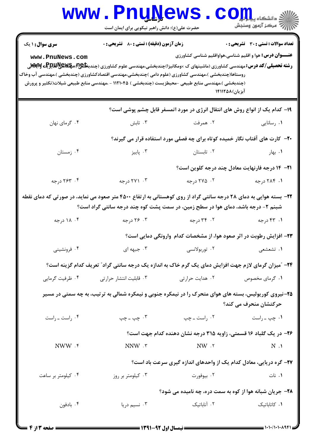|                                                                                                                                                  | <b>www.PnuNews</b><br>حضرت علی(ع): دانش راهبر نیکویی برای ایمان است                                                                                                                           |                                                                              | أآآه مرکز آزمون وسنجش                                                                                   |  |
|--------------------------------------------------------------------------------------------------------------------------------------------------|-----------------------------------------------------------------------------------------------------------------------------------------------------------------------------------------------|------------------------------------------------------------------------------|---------------------------------------------------------------------------------------------------------|--|
| <b>سری سوال : ۱ یک</b><br>www.PnuNews.com<br>روستاها(چندبخشی )،مهندسی کشاورزی (علوم دامی )چندبخشی،مهندسی اقتصادکشاورزی (چندبخشی )،مهندسی آب وخاک | <b>زمان آزمون (دقیقه) : تستی : 80 ٪ تشریحی : 0</b><br><b>رشته تحصیلی/کد درس:</b> مهندسی کشاورزی (ماشینهای ک ×ومکانیزا)چندبخشی،مهندسی علوم کشاورزی (چندب <b>خلیج) مچکلایکالیلیوچی MSvِTy</b> ق |                                                                              | تعداد سوالات : تستي : 30 ٪ تشريحي : 0<br><b>عنـــوان درس:</b> هوا و اقلیم شناسی،هواواقلیم شناسی کشاورزی |  |
|                                                                                                                                                  | (چندبخشی )،مهندسی منابع طبیعی -محیطزیست (چندبخشی ) ۱۱۲۱۰۴۵ - ،مهندسی منابع طبیعی شیلات(تکثیر و پرورش                                                                                          | آبزیان)۱۴۱۱۲۵۸                                                               |                                                                                                         |  |
|                                                                                                                                                  |                                                                                                                                                                                               | ۱۹- کدام یک از انواع روش های انتقال انرژی در مورد اتمسفر قابل چشم پوشی است؟  |                                                                                                         |  |
| ۰۴ گرمای نهان                                                                                                                                    | ۰۳ تابش                                                                                                                                                                                       | ۰۲ همرفت                                                                     | ۰۱ رسانایی                                                                                              |  |
|                                                                                                                                                  |                                                                                                                                                                                               | +۲- کارت های آفتاب نگار خمیده کوتاه برای چه فصلی مورد استفاده قرار می گیرند؟ |                                                                                                         |  |
| ۰۴ زمستان                                                                                                                                        | ۰۳ پاییز                                                                                                                                                                                      | ۰۲ تابستان                                                                   | ۰۱ بهار                                                                                                 |  |
|                                                                                                                                                  |                                                                                                                                                                                               |                                                                              | ا۲− ۱۴ درجه فارنهایت معادل چند درجه کلوین است؟                                                          |  |
| ۰۴ درجه                                                                                                                                          | ۰۳ درجه                                                                                                                                                                                       | ۰۲ درجه                                                                      | ۰۱ ۲۸۴ درجه                                                                                             |  |
| ۲۲- بسته هوایی به دمای ۲۸ درجه سانتی گراد از روی کوهستانی به ارتفاع ۴۵۰۰ متر صعود می نماید، در صورتی که دمای نقطه                                | شبنم ۲- درجه باشد، دمای هوا در سطح زمین، در سمت پشت کوه چند درجه سانتی گراد است؟                                                                                                              |                                                                              |                                                                                                         |  |
| ۰۴ ۱۸ درجه                                                                                                                                       | ۰۳ درجه                                                                                                                                                                                       | ۰۲ درجه                                                                      | ۰۱ ۴۳ درجه                                                                                              |  |
|                                                                                                                                                  |                                                                                                                                                                                               | ۲۳- افزایش رطوبت در اثر صعود هوا، از مشخصات کدام وارونگی دمایی است؟          |                                                                                                         |  |
| ۰۴ فرونشینی                                                                                                                                      | ۰۳ جبهه ای                                                                                                                                                                                    | ۰۲ توربولانسی                                                                | ۱. تشعشعي                                                                                               |  |
|                                                                                                                                                  | ۲۴- آمیزان گرمای لازم جهت افزایش دمای یک گرم خاک به اندازه یک درجه سانتی گراد" تعریف کدام گزینه است؟                                                                                          |                                                                              |                                                                                                         |  |
| ۰۴ ظرفیت گرمایی                                                                                                                                  | ۰۳ قابلیت انتشار حرارتی                                                                                                                                                                       | ۰۲ هدایت حرارتی                                                              | ۰۱ گرمای مخصوص                                                                                          |  |
| ۲۵-نیروی کوریولیس، بسته های هوای متحرک را در نیمکره جنوبی و نیمکره شمالی به ترتیب، به چه سمتی در مسیر<br>حرکتشان منحرف می کند؟                   |                                                                                                                                                                                               |                                                                              |                                                                                                         |  |
| ۰۴ راست ـ راست                                                                                                                                   | ۰۳ چپ ــ چپ                                                                                                                                                                                   | ۰۲ راست ـ چپ                                                                 | ۰۱ چپ ـ راست                                                                                            |  |
|                                                                                                                                                  |                                                                                                                                                                                               | ۲۶– در یک گلباد ۱۶ قسمتی، زاویه ۳۱۵ درجه نشان دهنده کدام جهت است؟            |                                                                                                         |  |
| NWW .f                                                                                                                                           | NNW .r                                                                                                                                                                                        | NW.7                                                                         | $N \cdot 1$                                                                                             |  |
|                                                                                                                                                  |                                                                                                                                                                                               | ۲۷– گره دریایی، معادل کدام یک از واحدهای اندازه گیری سرعت باد است؟           |                                                                                                         |  |
| ۰۴ کیلومتر بر ساعت                                                                                                                               | ۰۳ کیلومتر بر روز                                                                                                                                                                             | ۰۲ بيوفورت                                                                   | ۰۱ نات                                                                                                  |  |
|                                                                                                                                                  |                                                                                                                                                                                               | ۲۸- جریان شبانه هوا از کوه به سمت دره، چه نامیده می شود؟                     |                                                                                                         |  |
| ۰۴ بادفون                                                                                                                                        | ۰۳ نسیم دریا                                                                                                                                                                                  | ۰۲ آناباتیک                                                                  | ۰۱ کاتاباتیک                                                                                            |  |